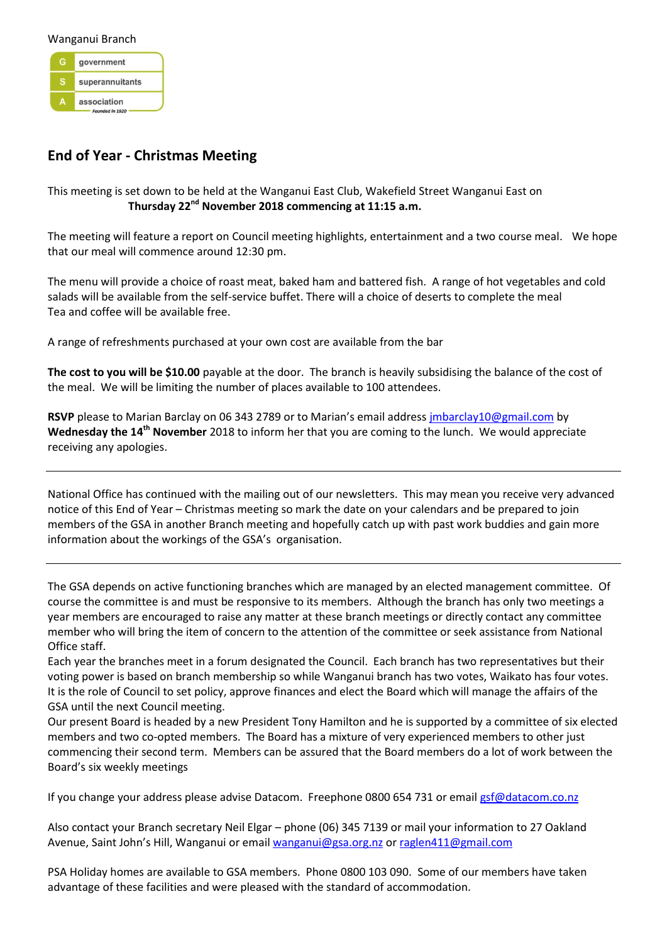Wanganui Branch government  $\mathbf{s}$ superannuitants association

## **End of Year - Christmas Meeting**

This meeting is set down to be held at the Wanganui East Club, Wakefield Street Wanganui East on **Thursday 22nd November 2018 commencing at 11:15 a.m.**

The meeting will feature a report on Council meeting highlights, entertainment and a two course meal. We hope that our meal will commence around 12:30 pm.

The menu will provide a choice of roast meat, baked ham and battered fish. A range of hot vegetables and cold salads will be available from the self-service buffet. There will a choice of deserts to complete the meal Tea and coffee will be available free.

A range of refreshments purchased at your own cost are available from the bar

**The cost to you will be \$10.00** payable at the door. The branch is heavily subsidising the balance of the cost of the meal. We will be limiting the number of places available to 100 attendees.

**RSVP** please to Marian Barclay on 06 343 2789 or to Marian's email address [jmbarclay10@gmail.com](mailto:jmbarclay10@gmail.com) by Wednesday the 14<sup>th</sup> November 2018 to inform her that you are coming to the lunch. We would appreciate receiving any apologies.

National Office has continued with the mailing out of our newsletters. This may mean you receive very advanced notice of this End of Year – Christmas meeting so mark the date on your calendars and be prepared to join members of the GSA in another Branch meeting and hopefully catch up with past work buddies and gain more information about the workings of the GSA's organisation.

The GSA depends on active functioning branches which are managed by an elected management committee. Of course the committee is and must be responsive to its members. Although the branch has only two meetings a year members are encouraged to raise any matter at these branch meetings or directly contact any committee member who will bring the item of concern to the attention of the committee or seek assistance from National Office staff.

Each year the branches meet in a forum designated the Council. Each branch has two representatives but their voting power is based on branch membership so while Wanganui branch has two votes, Waikato has four votes. It is the role of Council to set policy, approve finances and elect the Board which will manage the affairs of the GSA until the next Council meeting.

Our present Board is headed by a new President Tony Hamilton and he is supported by a committee of six elected members and two co-opted members. The Board has a mixture of very experienced members to other just commencing their second term. Members can be assured that the Board members do a lot of work between the Board's six weekly meetings

If you change your address please advise Datacom. Freephone 0800 654 731 or emai[l gsf@datacom.co.nz](mailto:gsf@datacom.co.nz)

Also contact your Branch secretary Neil Elgar – phone (06) 345 7139 or mail your information to 27 Oakland Avenue, Saint John's Hill, Wanganui or emai[l wanganui@gsa.org.nz](mailto:wanganui@gsa.org.nz) o[r raglen411@gmail.com](mailto:raglan411@gmail.com)

PSA Holiday homes are available to GSA members. Phone 0800 103 090. Some of our members have taken advantage of these facilities and were pleased with the standard of accommodation.